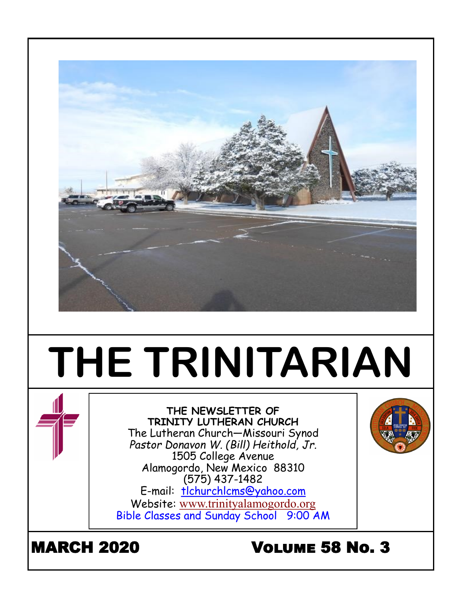

# **THE TRINITARIAN**



**THE NEWSLETTER OF TRINITY LUTHERAN CHURCH** The Lutheran Church—Missouri Synod *Pastor Donavon W. (Bill) Heithold, Jr.* 1505 College Avenue Alamogordo, New Mexico 88310 (575) 437-1482 E-mail: tlchurchlcms@yahoo.com

Website: [www.trinityalamogordo.org](http://www.tlcalamogordo/) Bible Classes and Sunday School 9:00 AM

# MARCH 2020 Volume 58 No. 3

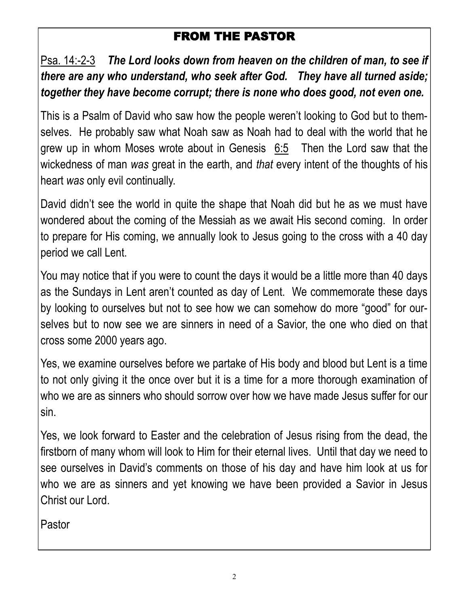# FROM THE PASTOR

Psa. 14:-2-3 *The Lord looks down from heaven on the children of man, to see if there are any who understand, who seek after God. They have all turned aside; together they have become corrupt; there is none who does good, not even one.* 

This is a Psalm of David who saw how the people weren't looking to God but to themselves. He probably saw what Noah saw as Noah had to deal with the world that he grew up in whom Moses wrote about in Genesis 6:5 Then the Lord saw that the wickedness of man *was* great in the earth, and *that* every intent of the thoughts of his heart *was* only evil continually.

David didn't see the world in quite the shape that Noah did but he as we must have wondered about the coming of the Messiah as we await His second coming. In order to prepare for His coming, we annually look to Jesus going to the cross with a 40 day period we call Lent.

You may notice that if you were to count the days it would be a little more than 40 days as the Sundays in Lent aren't counted as day of Lent. We commemorate these days by looking to ourselves but not to see how we can somehow do more "good" for ourselves but to now see we are sinners in need of a Savior, the one who died on that cross some 2000 years ago.

Yes, we examine ourselves before we partake of His body and blood but Lent is a time to not only giving it the once over but it is a time for a more thorough examination of who we are as sinners who should sorrow over how we have made Jesus suffer for our sin.

Yes, we look forward to Easter and the celebration of Jesus rising from the dead, the firstborn of many whom will look to Him for their eternal lives. Until that day we need to see ourselves in David's comments on those of his day and have him look at us for who we are as sinners and yet knowing we have been provided a Savior in Jesus Christ our Lord.

Pastor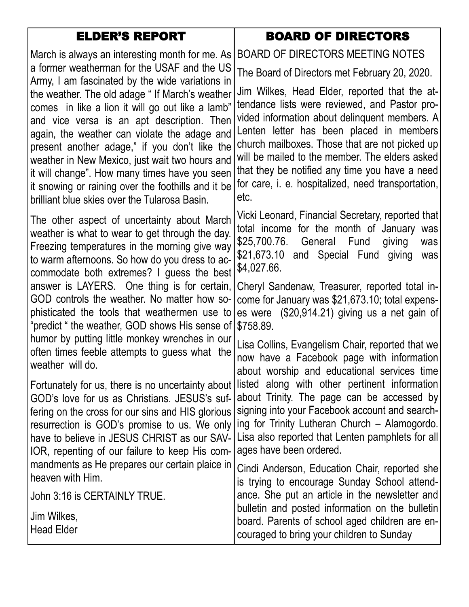| <b>ELDER'S REPORT</b>                                                                                                                                                                                                                                                                                                                                                                                                                                       | <b>BOARD OF DIRECTORS</b>                                                                                                                                                                                                                                                                                                                                                                                       |
|-------------------------------------------------------------------------------------------------------------------------------------------------------------------------------------------------------------------------------------------------------------------------------------------------------------------------------------------------------------------------------------------------------------------------------------------------------------|-----------------------------------------------------------------------------------------------------------------------------------------------------------------------------------------------------------------------------------------------------------------------------------------------------------------------------------------------------------------------------------------------------------------|
| March is always an interesting month for me. As                                                                                                                                                                                                                                                                                                                                                                                                             | BOARD OF DIRECTORS MEETING NOTES                                                                                                                                                                                                                                                                                                                                                                                |
| a former weatherman for the USAF and the US<br>Army, I am fascinated by the wide variations in                                                                                                                                                                                                                                                                                                                                                              | The Board of Directors met February 20, 2020.                                                                                                                                                                                                                                                                                                                                                                   |
| the weather. The old adage "If March's weather<br>comes in like a lion it will go out like a lamb"<br>and vice versa is an apt description. Then<br>again, the weather can violate the adage and<br>present another adage," if you don't like the<br>weather in New Mexico, just wait two hours and<br>it will change". How many times have you seen<br>it snowing or raining over the foothills and it be<br>brilliant blue skies over the Tularosa Basin. | Jim Wilkes, Head Elder, reported that the at-<br>tendance lists were reviewed, and Pastor pro-<br>vided information about delinquent members. A<br>Lenten letter has been placed in members<br>church mailboxes. Those that are not picked up<br>will be mailed to the member. The elders asked<br>that they be notified any time you have a need<br>for care, i. e. hospitalized, need transportation,<br>etc. |
| The other aspect of uncertainty about March<br>weather is what to wear to get through the day.<br>Freezing temperatures in the morning give way<br>to warm afternoons. So how do you dress to ac-<br>commodate both extremes? I guess the best                                                                                                                                                                                                              | Vicki Leonard, Financial Secretary, reported that<br>total income for the month of January was<br>\$25,700.76. General Fund<br>giving<br>was<br>\$21,673.10 and Special Fund giving<br>was<br>\$4,027.66.                                                                                                                                                                                                       |
| answer is LAYERS. One thing is for certain,<br>GOD controls the weather. No matter how so-<br>phisticated the tools that weathermen use to<br>"predict " the weather, GOD shows His sense of                                                                                                                                                                                                                                                                | Cheryl Sandenaw, Treasurer, reported total in-<br>come for January was \$21,673.10; total expens-<br>es were (\$20,914.21) giving us a net gain of<br>\$758.89.                                                                                                                                                                                                                                                 |
| humor by putting little monkey wrenches in our<br>often times feeble attempts to guess what the<br>weather will do.                                                                                                                                                                                                                                                                                                                                         | Lisa Collins, Evangelism Chair, reported that we<br>now have a Facebook page with information<br>about worship and educational services time                                                                                                                                                                                                                                                                    |
| Fortunately for us, there is no uncertainty about<br>GOD's love for us as Christians. JESUS's suf-<br>fering on the cross for our sins and HIS glorious<br>resurrection is GOD's promise to us. We only<br>have to believe in JESUS CHRIST as our SAV-<br>IOR, repenting of our failure to keep His com-                                                                                                                                                    | listed along with other pertinent information<br>about Trinity. The page can be accessed by<br>signing into your Facebook account and search-<br>ing for Trinity Lutheran Church - Alamogordo.<br>Lisa also reported that Lenten pamphlets for all<br>ages have been ordered.<br>mandments as He prepares our certain plaice in $\lceil$ Cindi Anderson. Education Chair, reported she                          |

heaven with Him.

Jim Wilkes, Head Elder

John 3:16 is CERTAINLY TRUE.

Cindi Anderson, Education Chair, reported she is trying to encourage Sunday School attendance. She put an article in the newsletter and bulletin and posted information on the bulletin board. Parents of school aged children are encouraged to bring your children to Sunday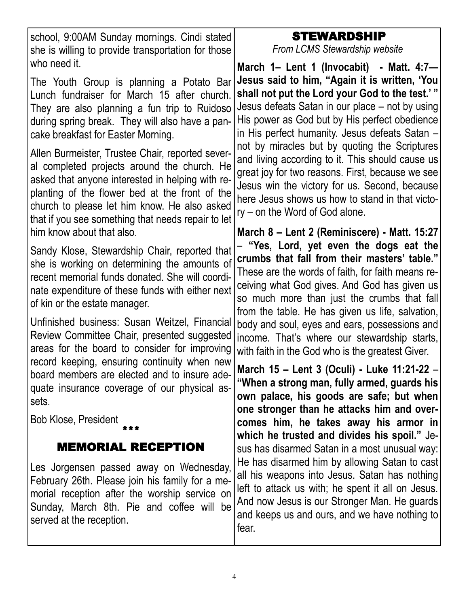school, 9:00AM Sunday mornings. Cindi stated she is willing to provide transportation for those who need it.

The Youth Group is planning a Potato Bar Lunch fundraiser for March 15 after church. They are also planning a fun trip to Ruidoso during spring break. They will also have a pancake breakfast for Easter Morning.

Allen Burmeister, Trustee Chair, reported several completed projects around the church. He asked that anyone interested in helping with replanting of the flower bed at the front of the church to please let him know. He also asked that if you see something that needs repair to let him know about that also.

Sandy Klose, Stewardship Chair, reported that she is working on determining the amounts of recent memorial funds donated. She will coordinate expenditure of these funds with either next of kin or the estate manager.

Unfinished business: Susan Weitzel, Financial Review Committee Chair, presented suggested areas for the board to consider for improving record keeping, ensuring continuity when new board members are elected and to insure adequate insurance coverage of our physical assets.

Bob Klose, President \*\*\*

# MEMORIAL RECEPTION

Les Jorgensen passed away on Wednesday, February 26th. Please join his family for a memorial reception after the worship service on Sunday, March 8th. Pie and coffee will be served at the reception.

# STEWARDSHIP

*From LCMS Stewardship website*

**March 1– Lent 1 (Invocabit) - Matt. 4:7— Jesus said to him, "Again it is written, 'You shall not put the Lord your God to the test.' "** Jesus defeats Satan in our place – not by using His power as God but by His perfect obedience in His perfect humanity. Jesus defeats Satan – not by miracles but by quoting the Scriptures and living according to it. This should cause us great joy for two reasons. First, because we see Jesus win the victory for us. Second, because here Jesus shows us how to stand in that victory – on the Word of God alone.

**March 8 – Lent 2 (Reminiscere) - Matt. 15:27** – **"Yes, Lord, yet even the dogs eat the crumbs that fall from their masters' table."**  These are the words of faith, for faith means receiving what God gives. And God has given us so much more than just the crumbs that fall from the table. He has given us life, salvation, body and soul, eyes and ears, possessions and income. That's where our stewardship starts, with faith in the God who is the greatest Giver.

**March 15 – Lent 3 (Oculi) - Luke 11:21-22** – **"When a strong man, fully armed, guards his own palace, his goods are safe; but when one stronger than he attacks him and overcomes him, he takes away his armor in which he trusted and divides his spoil."** Jesus has disarmed Satan in a most unusual way: He has disarmed him by allowing Satan to cast all his weapons into Jesus. Satan has nothing left to attack us with; he spent it all on Jesus. And now Jesus is our Stronger Man. He guards and keeps us and ours, and we have nothing to fear.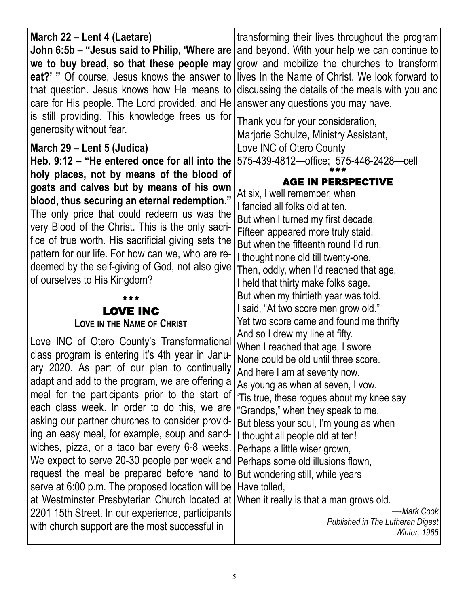| March 22 – Lent 4 (Laetare)<br>John 6:5b – "Jesus said to Philip, 'Where are<br>that question. Jesus knows how He means to<br>care for His people. The Lord provided, and He answer any questions you may have.<br>is still providing. This knowledge frees us for<br>generosity without fear.                                                                                                                                                                                                                                                                                                                                                                                                                                                                                                                                | transforming their lives throughout the program<br>and beyond. With your help we can continue to<br>we to buy bread, so that these people may grow and mobilize the churches to transform<br>eat?' " Of course, Jesus knows the answer to lives In the Name of Christ. We look forward to<br>discussing the details of the meals with you and<br>Thank you for your consideration,<br>Marjorie Schulze, Ministry Assistant,                                                                                                                                                                                                                                                                                                 |  |
|-------------------------------------------------------------------------------------------------------------------------------------------------------------------------------------------------------------------------------------------------------------------------------------------------------------------------------------------------------------------------------------------------------------------------------------------------------------------------------------------------------------------------------------------------------------------------------------------------------------------------------------------------------------------------------------------------------------------------------------------------------------------------------------------------------------------------------|-----------------------------------------------------------------------------------------------------------------------------------------------------------------------------------------------------------------------------------------------------------------------------------------------------------------------------------------------------------------------------------------------------------------------------------------------------------------------------------------------------------------------------------------------------------------------------------------------------------------------------------------------------------------------------------------------------------------------------|--|
| March 29 - Lent 5 (Judica)<br>Heb. 9:12 – "He entered once for all into the<br>holy places, not by means of the blood of<br>goats and calves but by means of his own<br>blood, thus securing an eternal redemption."<br>The only price that could redeem us was the<br>very Blood of the Christ. This is the only sacri-<br>fice of true worth. His sacrificial giving sets the<br>pattern for our life. For how can we, who are re-<br>deemed by the self-giving of God, not also give<br>of ourselves to His Kingdom?                                                                                                                                                                                                                                                                                                       | Love INC of Otero County<br>575-439-4812-office; 575-446-2428-cell<br><b>AGE IN PERSPECTIVE</b><br>At six, I well remember, when<br>I fancied all folks old at ten.<br>But when I turned my first decade,<br>Fifteen appeared more truly staid.<br>But when the fifteenth round I'd run,<br>I thought none old till twenty-one.<br>Then, oddly, when I'd reached that age,<br>I held that thirty make folks sage.                                                                                                                                                                                                                                                                                                           |  |
| <b>LOVE INC</b><br><b>LOVE IN THE NAME OF CHRIST</b><br>Love INC of Otero County's Transformational<br>class program is entering it's 4th year in Janu-<br>ary 2020. As part of our plan to continually<br>adapt and add to the program, we are offering a<br>meal for the participants prior to the start of<br>each class week. In order to do this, we are<br>asking our partner churches to consider provid-<br>ing an easy meal, for example, soup and sand-<br>wiches, pizza, or a taco bar every 6-8 weeks.<br>We expect to serve 20-30 people per week and<br>request the meal be prepared before hand to<br>serve at 6:00 p.m. The proposed location will be<br>at Westminster Presbyterian Church located at<br>2201 15th Street. In our experience, participants<br>with church support are the most successful in | But when my thirtieth year was told.<br>I said, "At two score men grow old."<br>Yet two score came and found me thrifty<br>And so I drew my line at fifty.<br>When I reached that age, I swore<br>None could be old until three score.<br>And here I am at seventy now.<br>As young as when at seven, I vow.<br>'Tis true, these rogues about my knee say<br>"Grandps," when they speak to me.<br>But bless your soul, I'm young as when<br>I thought all people old at ten!<br>Perhaps a little wiser grown,<br>Perhaps some old illusions flown,<br>But wondering still, while years<br>Have tolled,<br>When it really is that a man grows old.<br>--Mark Cook<br>Published in The Lutheran Digest<br><i>Winter, 1965</i> |  |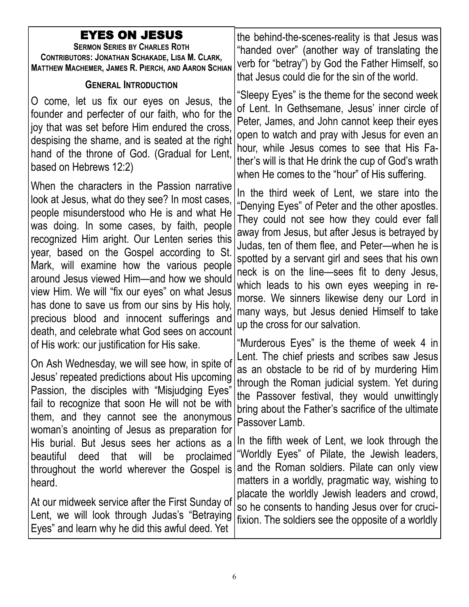| <b>EYES ON JESUS</b><br><b>SERMON SERIES BY CHARLES ROTH</b><br>CONTRIBUTORS: JONATHAN SCHAKADE, LISA M. CLARK,<br><b>MATTHEW MACHEMER, JAMES R. PIERCH, AND AARON SCHIAN</b><br><b>GENERAL INTRODUCTION</b>                                                                                                                                                                                                                                                                                                                                                                            | the behind-the-scenes-reality is that Jesus was<br>"handed over" (another way of translating the<br>verb for "betray") by God the Father Himself, so<br>that Jesus could die for the sin of the world.                                                                                                                                                                                                                                                                                                                                                                       |
|-----------------------------------------------------------------------------------------------------------------------------------------------------------------------------------------------------------------------------------------------------------------------------------------------------------------------------------------------------------------------------------------------------------------------------------------------------------------------------------------------------------------------------------------------------------------------------------------|------------------------------------------------------------------------------------------------------------------------------------------------------------------------------------------------------------------------------------------------------------------------------------------------------------------------------------------------------------------------------------------------------------------------------------------------------------------------------------------------------------------------------------------------------------------------------|
| O come, let us fix our eyes on Jesus, the<br>founder and perfecter of our faith, who for the<br>joy that was set before Him endured the cross,<br>despising the shame, and is seated at the right<br>hand of the throne of God. (Gradual for Lent,<br>based on Hebrews 12:2)                                                                                                                                                                                                                                                                                                            | "Sleepy Eyes" is the theme for the second week<br>of Lent. In Gethsemane, Jesus' inner circle of<br>Peter, James, and John cannot keep their eyes<br>open to watch and pray with Jesus for even an<br>hour, while Jesus comes to see that His Fa-<br>ther's will is that He drink the cup of God's wrath<br>when He comes to the "hour" of His suffering.                                                                                                                                                                                                                    |
| When the characters in the Passion narrative<br>look at Jesus, what do they see? In most cases,<br>people misunderstood who He is and what He<br>was doing. In some cases, by faith, people<br>recognized Him aright. Our Lenten series this<br>year, based on the Gospel according to St.<br>Mark, will examine how the various people<br>around Jesus viewed Him—and how we should<br>view Him. We will "fix our eyes" on what Jesus<br>has done to save us from our sins by His holy,<br>precious blood and innocent sufferings and<br>death, and celebrate what God sees on account | In the third week of Lent, we stare into the<br>"Denying Eyes" of Peter and the other apostles.<br>They could not see how they could ever fall<br>away from Jesus, but after Jesus is betrayed by<br>Judas, ten of them flee, and Peter-when he is<br>spotted by a servant girl and sees that his own<br>neck is on the line—sees fit to deny Jesus,<br>which leads to his own eyes weeping in re-<br>morse. We sinners likewise deny our Lord in<br>many ways, but Jesus denied Himself to take<br>up the cross for our salvation.                                          |
| of His work: our justification for His sake.<br>On Ash Wednesday, we will see how, in spite of<br>Jesus' repeated predictions about His upcoming<br>Passion, the disciples with "Misjudging Eyes"<br>fail to recognize that soon He will not be with<br>them, and they cannot see the anonymous<br>woman's anointing of Jesus as preparation for<br>His burial. But Jesus sees her actions as a<br>beautiful<br>proclaimed<br>deed<br>that will<br>be<br>throughout the world wherever the Gospel is<br>heard.                                                                          | "Murderous Eyes" is the theme of week 4 in<br>Lent. The chief priests and scribes saw Jesus<br>as an obstacle to be rid of by murdering Him<br>through the Roman judicial system. Yet during<br>the Passover festival, they would unwittingly<br>bring about the Father's sacrifice of the ultimate<br>Passover Lamb.<br>In the fifth week of Lent, we look through the<br>"Worldly Eyes" of Pilate, the Jewish leaders,<br>and the Roman soldiers. Pilate can only view<br>matters in a worldly, pragmatic way, wishing to<br>placate the worldly Jewish leaders and crowd, |
| At our midweek service after the First Sunday of<br>Lent, we will look through Judas's "Betraying<br>Eyes" and learn why he did this awful deed. Yet                                                                                                                                                                                                                                                                                                                                                                                                                                    | so he consents to handing Jesus over for cruci-<br>fixion. The soldiers see the opposite of a worldly                                                                                                                                                                                                                                                                                                                                                                                                                                                                        |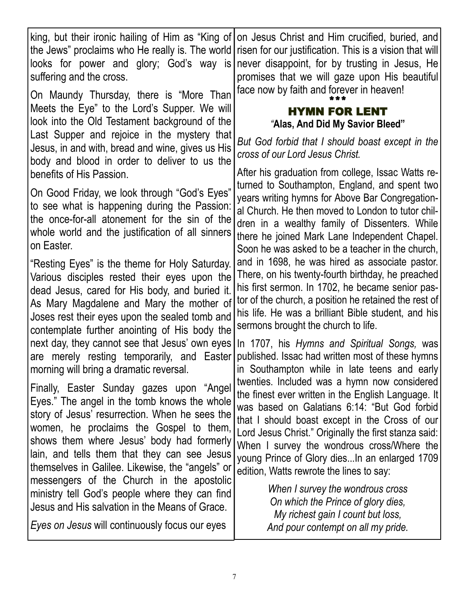king, but their ironic hailing of Him as "King of the Jews" proclaims who He really is. The world looks for power and glory; God's way is suffering and the cross.

On Maundy Thursday, there is "More Than Meets the Eye" to the Lord's Supper. We will look into the Old Testament background of the Last Supper and rejoice in the mystery that Jesus, in and with, bread and wine, gives us His body and blood in order to deliver to us the benefits of His Passion.

On Good Friday, we look through "God's Eyes" to see what is happening during the Passion: the once-for-all atonement for the sin of the whole world and the justification of all sinners on Easter.

"Resting Eyes" is the theme for Holy Saturday. Various disciples rested their eyes upon the dead Jesus, cared for His body, and buried it. As Mary Magdalene and Mary the mother of Joses rest their eyes upon the sealed tomb and contemplate further anointing of His body the next day, they cannot see that Jesus' own eyes are merely resting temporarily, and Easter morning will bring a dramatic reversal.

Finally, Easter Sunday gazes upon "Angel Eyes." The angel in the tomb knows the whole story of Jesus' resurrection. When he sees the women, he proclaims the Gospel to them, shows them where Jesus' body had formerly lain, and tells them that they can see Jesus themselves in Galilee. Likewise, the "angels" or messengers of the Church in the apostolic ministry tell God's people where they can find Jesus and His salvation in the Means of Grace.

*Eyes on Jesus* will continuously focus our eyes

on Jesus Christ and Him crucified, buried, and risen for our justification. This is a vision that will never disappoint, for by trusting in Jesus, He promises that we will gaze upon His beautiful face now by faith and forever in heaven!

## \*\*\* HYMN FOR LENT *"***Alas, And Did My Savior Bleed"**

*But God forbid that I should boast except in the cross of our Lord Jesus Christ.*

After his graduation from college, Issac Watts returned to Southampton, England, and spent two years writing hymns for Above Bar Congregational Church. He then moved to London to tutor children in a wealthy family of Dissenters. While there he joined Mark Lane Independent Chapel. Soon he was asked to be a teacher in the church, and in 1698, he was hired as associate pastor. There, on his twenty-fourth birthday, he preached his first sermon. In 1702, he became senior pastor of the church, a position he retained the rest of his life. He was a brilliant Bible student, and his sermons brought the church to life.

In 1707, his *Hymns and Spiritual Songs,* was published. Issac had written most of these hymns in Southampton while in late teens and early twenties. Included was a hymn now considered the finest ever written in the English Language. It was based on Galatians 6:14: "But God forbid that I should boast except in the Cross of our Lord Jesus Christ." Originally the first stanza said: When I survey the wondrous cross/Where the young Prince of Glory dies...In an enlarged 1709 edition, Watts rewrote the lines to say:

> *When I survey the wondrous cross On which the Prince of glory dies, My richest gain I count but loss, And pour contempt on all my pride.*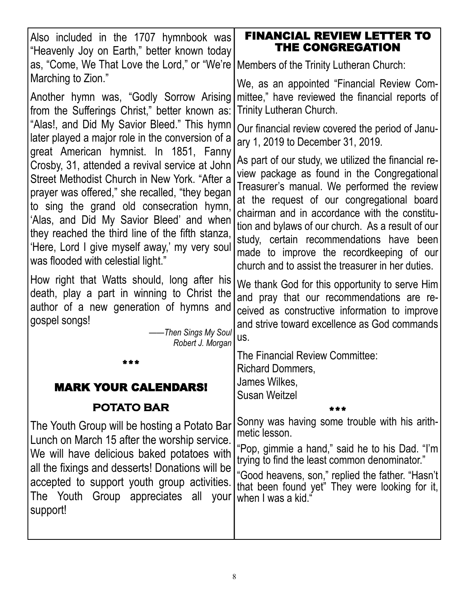| Also included in the 1707 hymnbook was<br>"Heavenly Joy on Earth," better known today                                                                                                                                                                                                                                                                                                                                          | <b>FINANCIAL REVIEW LETTER TO</b><br>THE CONGREGATION                                                                                                                                                                                                                                                                                                                                                                                              |
|--------------------------------------------------------------------------------------------------------------------------------------------------------------------------------------------------------------------------------------------------------------------------------------------------------------------------------------------------------------------------------------------------------------------------------|----------------------------------------------------------------------------------------------------------------------------------------------------------------------------------------------------------------------------------------------------------------------------------------------------------------------------------------------------------------------------------------------------------------------------------------------------|
| as, "Come, We That Love the Lord," or "We're                                                                                                                                                                                                                                                                                                                                                                                   | Members of the Trinity Lutheran Church:                                                                                                                                                                                                                                                                                                                                                                                                            |
| Marching to Zion."<br>Another hymn was, "Godly Sorrow Arising<br>from the Sufferings Christ," better known as:                                                                                                                                                                                                                                                                                                                 | We, as an appointed "Financial Review Com-<br>mittee," have reviewed the financial reports of<br>Trinity Lutheran Church.                                                                                                                                                                                                                                                                                                                          |
| "Alas!, and Did My Savior Bleed." This hymn<br>later played a major role in the conversion of a                                                                                                                                                                                                                                                                                                                                | Our financial review covered the period of Janu-<br>ary 1, 2019 to December 31, 2019.                                                                                                                                                                                                                                                                                                                                                              |
| great American hymnist. In 1851, Fanny<br>Crosby, 31, attended a revival service at John<br>Street Methodist Church in New York. "After a<br>prayer was offered," she recalled, "they began<br>to sing the grand old consecration hymn,<br>'Alas, and Did My Savior Bleed' and when<br>they reached the third line of the fifth stanza,<br>'Here, Lord I give myself away,' my very soul<br>was flooded with celestial light." | As part of our study, we utilized the financial re-<br>view package as found in the Congregational<br>Treasurer's manual. We performed the review<br>at the request of our congregational board<br>chairman and in accordance with the constitu-<br>tion and bylaws of our church. As a result of our<br>study, certain recommendations have been<br>made to improve the recordkeeping of our<br>church and to assist the treasurer in her duties. |
| How right that Watts should, long after his<br>death, play a part in winning to Christ the<br>author of a new generation of hymns and<br>gospel songs!<br>-Then Sings My Soul<br>Robert J. Morgan                                                                                                                                                                                                                              | We thank God for this opportunity to serve Him<br>and pray that our recommendations are re-<br>ceived as constructive information to improve<br>and strive toward excellence as God commands<br>US.                                                                                                                                                                                                                                                |
|                                                                                                                                                                                                                                                                                                                                                                                                                                | The Financial Review Committee:                                                                                                                                                                                                                                                                                                                                                                                                                    |
| <b>MARK YOUR CALENDARS!</b><br><b>POTATO BAR</b>                                                                                                                                                                                                                                                                                                                                                                               | <b>Richard Dommers,</b><br>James Wilkes,<br><b>Susan Weitzel</b>                                                                                                                                                                                                                                                                                                                                                                                   |
| The Youth Group will be hosting a Potato Bar<br>Lunch on March 15 after the worship service.<br>We will have delicious baked potatoes with<br>all the fixings and desserts! Donations will be<br>accepted to support youth group activities.<br>The Youth Group appreciates all<br>your<br>support!                                                                                                                            | Sonny was having some trouble with his arith-<br>metic lesson.<br>"Pop, gimmie a hand," said he to his Dad. "I'm<br>trying to find the least common denominator."<br>"Good heavens, son," replied the father. "Hasn't<br>that been found yet" They were looking for it,<br>when I was a kid."                                                                                                                                                      |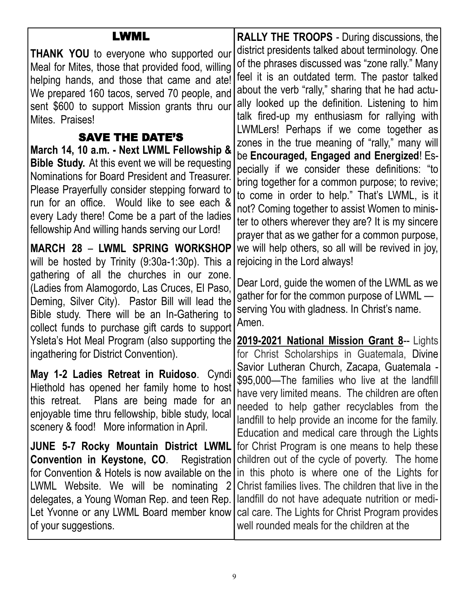#### LWML **THANK YOU** to everyone who supported our Meal for Mites, those that provided food, willing helping hands, and those that came and ate! We prepared 160 tacos, served 70 people, and sent \$600 to support Mission grants thru our Mites. Praises! SAVE THE DATE'S **March 14, 10 a.m. - Next LWML Fellowship & Bible Study.** At this event we will be requesting Nominations for Board President and Treasurer. Please Prayerfully consider stepping forward to run for an office. Would like to see each & every Lady there! Come be a part of the ladies fellowship And willing hands serving our Lord! **MARCH 28** – **LWML SPRING WORKSHOP** will be hosted by Trinity (9:30a-1:30p). This a gathering of all the churches in our zone. (Ladies from Alamogordo, Las Cruces, El Paso, Deming, Silver City). Pastor Bill will lead the Bible study. There will be an In-Gathering to collect funds to purchase gift cards to support Ysleta's Hot Meal Program (also supporting the **2019-2021 National Mission Grant 8**-- Lights ingathering for District Convention). **May 1-2 Ladies Retreat in Ruidoso**. Cyndi Hiethold has opened her family home to host this retreat. Plans are being made for an enjoyable time thru fellowship, bible study, local scenery & food! More information in April. **JUNE 5-7 Rocky Mountain District LWML Convention in Keystone, CO**. Registration for Convention & Hotels is now available on the LWML Website. We will be nominating 2 delegates, a Young Woman Rep. and teen Rep. Let Yvonne or any LWML Board member know of your suggestions. **RALLY THE TROOPS** - During discussions, the district presidents talked about terminology. One of the phrases discussed was "zone rally." Many feel it is an outdated term. The pastor talked about the verb "rally," sharing that he had actually looked up the definition. Listening to him talk fired-up my enthusiasm for rallying with LWMLers! Perhaps if we come together as zones in the true meaning of "rally," many will be **Encouraged, Engaged and Energized**! Especially if we consider these definitions: "to bring together for a common purpose; to revive; to come in order to help." That's LWML, is it not? Coming together to assist Women to minister to others wherever they are? It is my sincere prayer that as we gather for a common purpose, we will help others, so all will be revived in joy, rejoicing in the Lord always! Dear Lord, guide the women of the LWML as we gather for for the common purpose of LWML serving You with gladness. In Christ's name. Amen. for Christ Scholarships in Guatemala, Divine Savior Lutheran Church, Zacapa, Guatemala - \$95,000—The families who live at the landfill have very limited means. The children are often needed to help gather recyclables from the landfill to help provide an income for the family. Education and medical care through the Lights for Christ Program is one means to help these children out of the cycle of poverty. The home in this photo is where one of the Lights for Christ families lives. The children that live in the landfill do not have adequate nutrition or medical care. The Lights for Christ Program provides well rounded meals for the children at the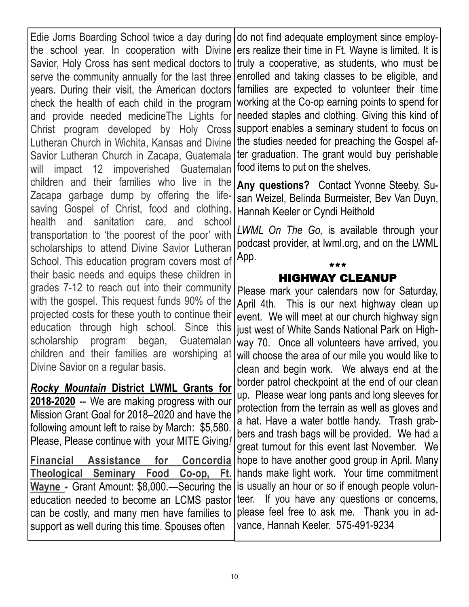Edie Jorns Boarding School twice a day during the school year. In cooperation with Divine Savior, Holy Cross has sent medical doctors to truly a cooperative, as students, who must be serve the community annually for the last three years. During their visit, the American doctors check the health of each child in the program and provide needed medicineThe Lights for Christ program developed by Holy Cross Lutheran Church in Wichita, Kansas and Divine Savior Lutheran Church in Zacapa, Guatemala will impact 12 impoverished Guatemalan children and their families who live in the Zacapa garbage dump by offering the lifesaving Gospel of Christ, food and clothing, health and sanitation care, and school transportation to 'the poorest of the poor' with scholarships to attend Divine Savior Lutheran School. This education program covers most of their basic needs and equips these children in grades 7-12 to reach out into their community with the gospel. This request funds 90% of the projected costs for these youth to continue their education through high school. Since this scholarship program began, Guatemalan children and their families are worshiping at Divine Savior on a regular basis.

*Rocky Mountain* **District LWML Grants for 2018-2020** -- We are making progress with our Mission Grant Goal for 2018–2020 and have the following amount left to raise by March: \$5,580. Please, Please continue with your MITE Giving*!*

**Financial Assistance for Concordia Theological Seminary Food Co-op, Ft. Wayne -** Grant Amount: \$8,000.—Securing the education needed to become an LCMS pastor can be costly, and many men have families to support as well during this time. Spouses often

do not find adequate employment since employers realize their time in Ft. Wayne is limited. It is enrolled and taking classes to be eligible, and families are expected to volunteer their time working at the Co-op earning points to spend for needed staples and clothing. Giving this kind of support enables a seminary student to focus on the studies needed for preaching the Gospel after graduation. The grant would buy perishable food items to put on the shelves.

**Any questions?** Contact Yvonne Steeby, Susan Weizel, Belinda Burmeister, Bev Van Duyn, Hannah Keeler or Cyndi Heithold

*LWML On The Go,* is available through your podcast provider, at lwml.org, and on the LWML App.

## \*\*\* HIGHWAY CLEANUP

Please mark your calendars now for Saturday, April 4th. This is our next highway clean up event. We will meet at our church highway sign just west of White Sands National Park on Highway 70. Once all volunteers have arrived, you will choose the area of our mile you would like to clean and begin work. We always end at the border patrol checkpoint at the end of our clean up. Please wear long pants and long sleeves for protection from the terrain as well as gloves and a hat. Have a water bottle handy. Trash grabbers and trash bags will be provided. We had a great turnout for this event last November. We hope to have another good group in April. Many hands make light work. Your time commitment is usually an hour or so if enough people volunteer. If you have any questions or concerns, please feel free to ask me. Thank you in advance, Hannah Keeler. 575-491-9234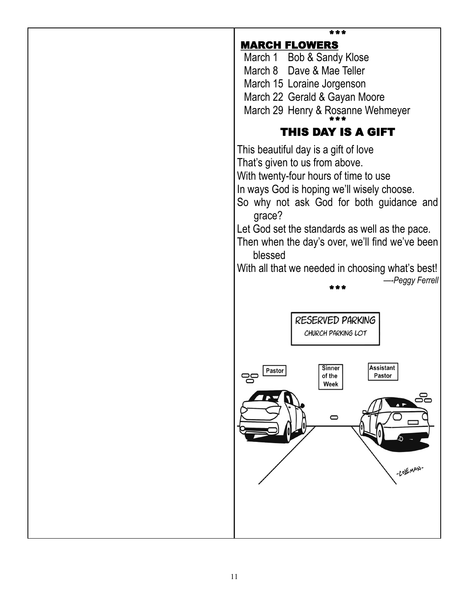